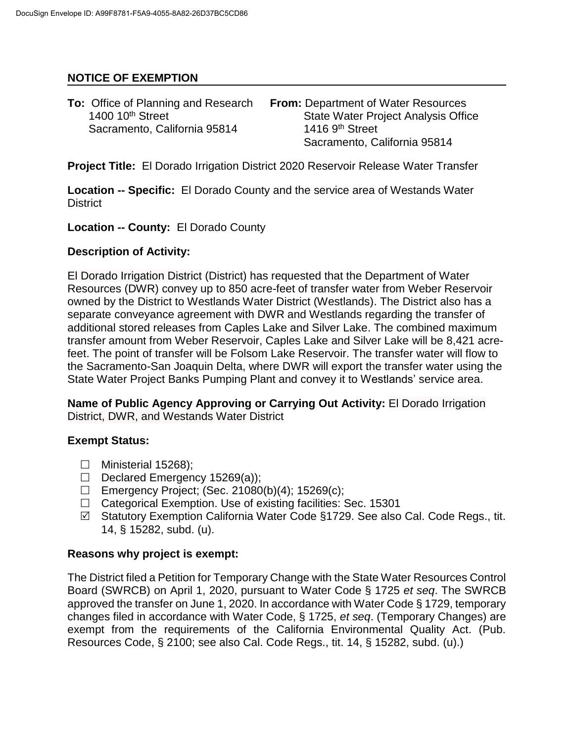## **NOTICE OF EXEMPTION**

| <b>To:</b> Office of Planning and Research | <b>From: Department of Water Resources</b> |
|--------------------------------------------|--------------------------------------------|
| 1400 10 <sup>th</sup> Street               | <b>State Water Project Analysis Office</b> |
| Sacramento, California 95814               | 1416 $9th$ Street                          |
|                                            | Sacramento, California 95814               |

**Project Title:** El Dorado Irrigation District 2020 Reservoir Release Water Transfer

**Location -- Specific:** El Dorado County and the service area of Westands Water **District** 

**Location -- County:** El Dorado County

#### **Description of Activity:**

El Dorado Irrigation District (District) has requested that the Department of Water Resources (DWR) convey up to 850 acre-feet of transfer water from Weber Reservoir owned by the District to Westlands Water District (Westlands). The District also has a separate conveyance agreement with DWR and Westlands regarding the transfer of additional stored releases from Caples Lake and Silver Lake. The combined maximum transfer amount from Weber Reservoir, Caples Lake and Silver Lake will be 8,421 acrefeet. The point of transfer will be Folsom Lake Reservoir. The transfer water will flow to the Sacramento-San Joaquin Delta, where DWR will export the transfer water using the State Water Project Banks Pumping Plant and convey it to Westlands' service area.

**Name of Public Agency Approving or Carrying Out Activity:** El Dorado Irrigation District, DWR, and Westands Water District

## **Exempt Status:**

- $\Box$  Ministerial 15268):
- Declared Emergency 15269(a));
- Emergency Project; (Sec. 21080(b)(4); 15269(c);
- $\Box$  Categorical Exemption. Use of existing facilities: Sec. 15301
- $\boxtimes$  Statutory Exemption California Water Code §1729. See also Cal. Code Regs., tit. 14, § 15282, subd. (u).

#### **Reasons why project is exempt:**

The District filed a Petition for Temporary Change with the State Water Resources Control Board (SWRCB) on April 1, 2020, pursuant to Water Code § 1725 *et seq*. The SWRCB approved the transfer on June 1, 2020. In accordance with Water Code § 1729, temporary changes filed in accordance with Water Code, § 1725, *et seq*. (Temporary Changes) are exempt from the requirements of the California Environmental Quality Act. (Pub. Resources Code, § 2100; see also Cal. Code Regs., tit. 14, § 15282, subd. (u).)